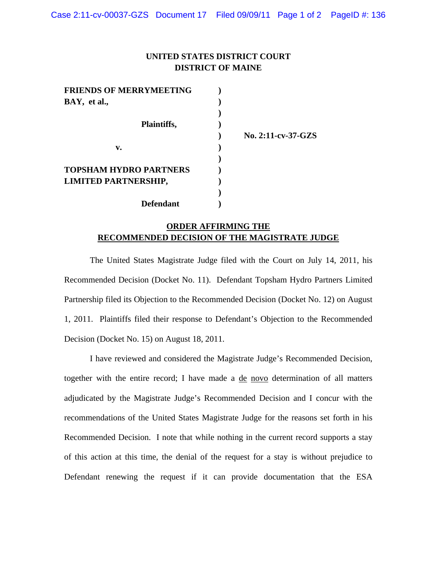## **UNITED STATES DISTRICT COURT DISTRICT OF MAINE**

| <b>FRIENDS OF MERRYMEETING</b> |  |
|--------------------------------|--|
| BAY, et al.,                   |  |
|                                |  |
| Plaintiffs,                    |  |
|                                |  |
| v.                             |  |
|                                |  |
| <b>TOPSHAM HYDRO PARTNERS</b>  |  |
| LIMITED PARTNERSHIP,           |  |
|                                |  |
| <b>Defendant</b>               |  |

 **) No. 2:11-cv-37-GZS** 

## **ORDER AFFIRMING THE RECOMMENDED DECISION OF THE MAGISTRATE JUDGE**

 The United States Magistrate Judge filed with the Court on July 14, 2011, his Recommended Decision (Docket No. 11). Defendant Topsham Hydro Partners Limited Partnership filed its Objection to the Recommended Decision (Docket No. 12) on August 1, 2011. Plaintiffs filed their response to Defendant's Objection to the Recommended Decision (Docket No. 15) on August 18, 2011.

 I have reviewed and considered the Magistrate Judge's Recommended Decision, together with the entire record; I have made a de novo determination of all matters adjudicated by the Magistrate Judge's Recommended Decision and I concur with the recommendations of the United States Magistrate Judge for the reasons set forth in his Recommended Decision. I note that while nothing in the current record supports a stay of this action at this time, the denial of the request for a stay is without prejudice to Defendant renewing the request if it can provide documentation that the ESA